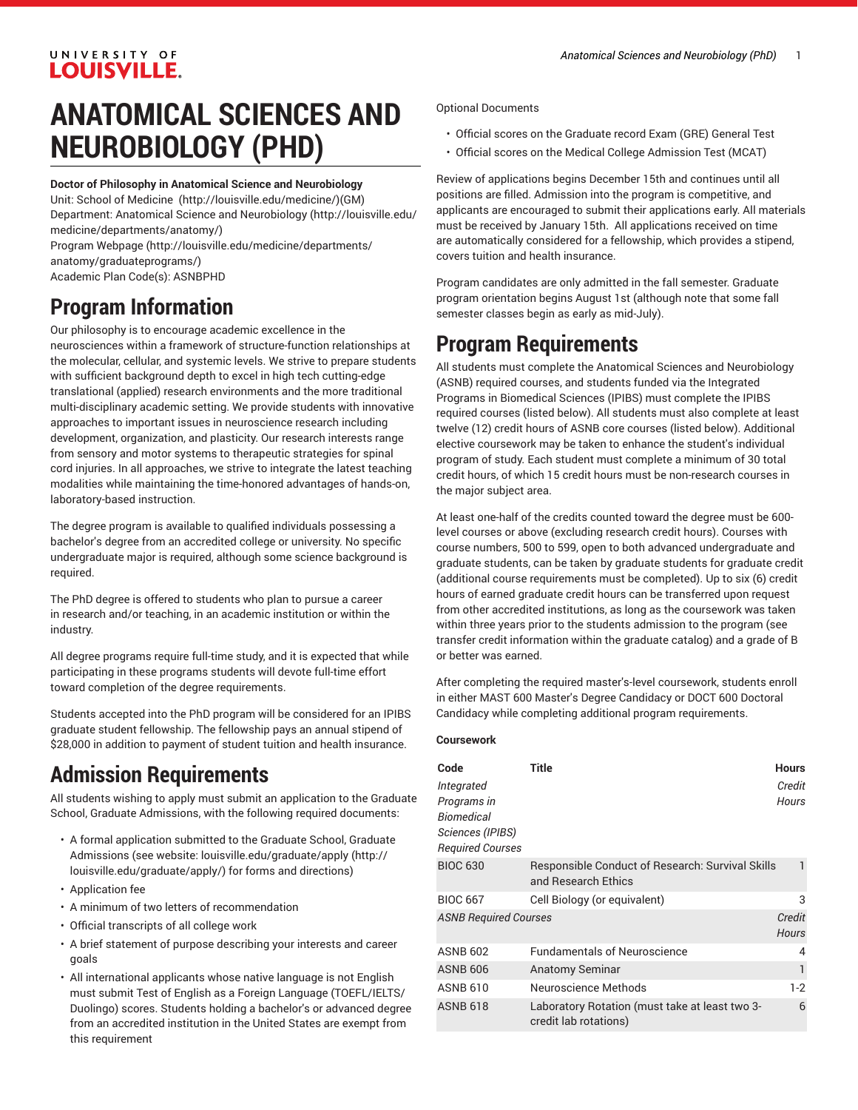## UNIVERSITY OF **LOUISVILLE.**

# **ANATOMICAL SCIENCES AND NEUROBIOLOGY (PHD)**

#### **Doctor of Philosophy in Anatomical Science and Neurobiology**

Unit: [School of Medicine \(http://louisville.edu/medicine/\)](http://louisville.edu/medicine/)(GM) Department: Anatomical Science and [Neurobiology](http://louisville.edu/medicine/departments/anatomy/) ([http://louisville.edu/](http://louisville.edu/medicine/departments/anatomy/) [medicine/departments/anatomy/](http://louisville.edu/medicine/departments/anatomy/)) Program [Webpage](http://louisville.edu/medicine/departments/anatomy/graduateprograms/) [\(http://louisville.edu/medicine/departments/](http://louisville.edu/medicine/departments/anatomy/graduateprograms/) [anatomy/graduateprograms/](http://louisville.edu/medicine/departments/anatomy/graduateprograms/))

Academic Plan Code(s): ASNBPHD

## **Program Information**

Our philosophy is to encourage academic excellence in the neurosciences within a framework of structure-function relationships at the molecular, cellular, and systemic levels. We strive to prepare students with sufficient background depth to excel in high tech cutting-edge translational (applied) research environments and the more traditional multi-disciplinary academic setting. We provide students with innovative approaches to important issues in neuroscience research including development, organization, and plasticity. Our research interests range from sensory and motor systems to therapeutic strategies for spinal cord injuries. In all approaches, we strive to integrate the latest teaching modalities while maintaining the time-honored advantages of hands-on, laboratory-based instruction.

The degree program is available to qualified individuals possessing a bachelor's degree from an accredited college or university. No specific undergraduate major is required, although some science background is required.

The PhD degree is offered to students who plan to pursue a career in research and/or teaching, in an academic institution or within the industry.

All degree programs require full-time study, and it is expected that while participating in these programs students will devote full-time effort toward completion of the degree requirements.

Students accepted into the PhD program will be considered for an IPIBS graduate student fellowship. The fellowship pays an annual stipend of \$28,000 in addition to payment of student tuition and health insurance.

## **Admission Requirements**

All students wishing to apply must submit an application to the Graduate School, Graduate Admissions, with the following required documents:

- A formal application submitted to the Graduate School, Graduate Admissions (see website: [louisville.edu/graduate/apply \(http://](http://louisville.edu/graduate/apply/) [louisville.edu/graduate/apply/\)](http://louisville.edu/graduate/apply/) for forms and directions)
- Application fee
- A minimum of two letters of recommendation
- Official transcripts of all college work
- A brief statement of purpose describing your interests and career goals
- All international applicants whose native language is not English must submit Test of English as a Foreign Language (TOEFL/IELTS/ Duolingo) scores. Students holding a bachelor's or advanced degree from an accredited institution in the United States are exempt from this requirement

Optional Documents

- Official scores on the Graduate record Exam (GRE) General Test
- Official scores on the Medical College Admission Test (MCAT)

Review of applications begins December 15th and continues until all positions are filled. Admission into the program is competitive, and applicants are encouraged to submit their applications early. All materials must be received by January 15th. All applications received on time are automatically considered for a fellowship, which provides a stipend, covers tuition and health insurance.

Program candidates are only admitted in the fall semester. Graduate program orientation begins August 1st (although note that some fall semester classes begin as early as mid-July).

## **Program Requirements**

All students must complete the Anatomical Sciences and Neurobiology (ASNB) required courses, and students funded via the Integrated Programs in Biomedical Sciences (IPIBS) must complete the IPIBS required courses (listed below). All students must also complete at least twelve (12) credit hours of ASNB core courses (listed below). Additional elective coursework may be taken to enhance the student's individual program of study. Each student must complete a minimum of 30 total credit hours, of which 15 credit hours must be non-research courses in the major subject area.

At least one-half of the credits counted toward the degree must be 600 level courses or above (excluding research credit hours). Courses with course numbers, 500 to 599, open to both advanced undergraduate and graduate students, can be taken by graduate students for graduate credit (additional course requirements must be completed). Up to six (6) credit hours of earned graduate credit hours can be transferred upon request from other accredited institutions, as long as the coursework was taken within three years prior to the students admission to the program (see transfer credit information within the graduate catalog) and a grade of B or better was earned.

After completing the required master's-level coursework, students enroll in either MAST 600 Master's Degree Candidacy or DOCT 600 Doctoral Candidacy while completing additional program requirements.

#### **Coursework**

| Code                         | <b>Title</b>                                                            | <b>Hours</b> |
|------------------------------|-------------------------------------------------------------------------|--------------|
| Integrated                   |                                                                         | Credit       |
| Programs in                  |                                                                         | <b>Hours</b> |
| Biomedical                   |                                                                         |              |
| Sciences (IPIBS)             |                                                                         |              |
| <b>Required Courses</b>      |                                                                         |              |
| <b>BIOC 630</b>              | Responsible Conduct of Research: Survival Skills<br>and Research Ethics |              |
| <b>BIOC 667</b>              | Cell Biology (or equivalent)                                            | 3            |
| <b>ASNB Required Courses</b> |                                                                         | Credit       |
|                              |                                                                         | <b>Hours</b> |
| <b>ASNB 602</b>              | <b>Fundamentals of Neuroscience</b>                                     | 4            |
| <b>ASNB 606</b>              | <b>Anatomy Seminar</b>                                                  | 1            |
| <b>ASNB 610</b>              | Neuroscience Methods                                                    | $1-2$        |
| <b>ASNB 618</b>              | Laboratory Rotation (must take at least two 3-<br>credit lab rotations) | 6            |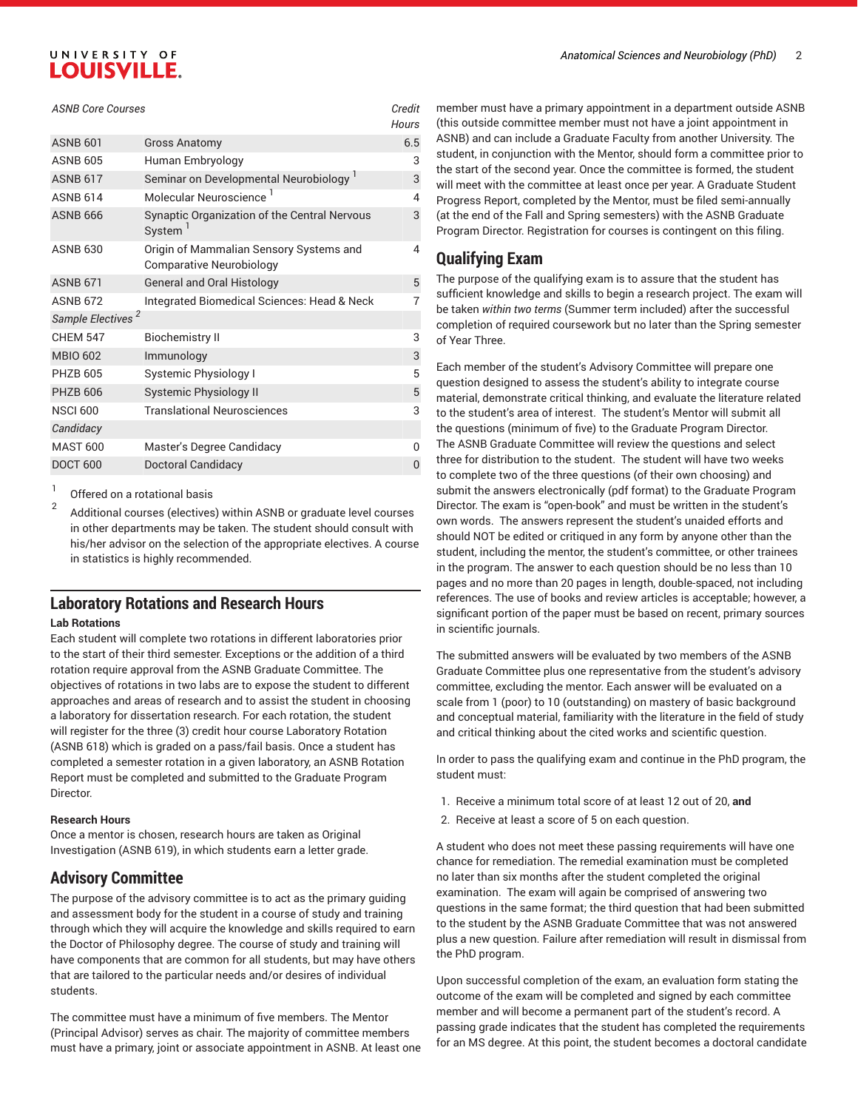## UNIVERSITY OF **LOUISVILLE.**

#### *ASNB Core Courses Credit*

|                               |                                                                     | ,,,,,, |
|-------------------------------|---------------------------------------------------------------------|--------|
| <b>ASNB 601</b>               | <b>Gross Anatomy</b>                                                | 6.5    |
| <b>ASNB 605</b>               | Human Embryology                                                    | 3      |
| <b>ASNB 617</b>               | Seminar on Developmental Neurobiology                               | 3      |
| <b>ASNB 614</b>               | Molecular Neuroscience <sup>1</sup>                                 | 4      |
| <b>ASNB 666</b>               | Synaptic Organization of the Central Nervous<br>System              | 3      |
| <b>ASNB 630</b>               | Origin of Mammalian Sensory Systems and<br>Comparative Neurobiology | 4      |
| <b>ASNB 671</b>               | <b>General and Oral Histology</b>                                   | 5      |
| <b>ASNB 672</b>               | Integrated Biomedical Sciences: Head & Neck                         | 7      |
| Sample Electives <sup>2</sup> |                                                                     |        |
| <b>CHFM 547</b>               | <b>Biochemistry II</b>                                              | 3      |
| <b>MBIO 602</b>               | Immunology                                                          | 3      |
| <b>PHZB 605</b>               | Systemic Physiology I                                               | 5      |
| <b>PHZB 606</b>               | <b>Systemic Physiology II</b>                                       | 5      |
| <b>NSCI 600</b>               | <b>Translational Neurosciences</b>                                  | 3      |
| Candidacy                     |                                                                     |        |
| <b>MAST 600</b>               | Master's Degree Candidacy                                           | U      |
| <b>DOCT 600</b>               | Doctoral Candidacy                                                  | O      |

1 Offered on a rotational basis

2 Additional courses (electives) within ASNB or graduate level courses in other departments may be taken. The student should consult with his/her advisor on the selection of the appropriate electives. A course in statistics is highly recommended.

### **Laboratory Rotations and Research Hours**

#### **Lab Rotations**

Each student will complete two rotations in different laboratories prior to the start of their third semester. Exceptions or the addition of a third rotation require approval from the ASNB Graduate Committee. The objectives of rotations in two labs are to expose the student to different approaches and areas of research and to assist the student in choosing a laboratory for dissertation research. For each rotation, the student will register for the three (3) credit hour course Laboratory Rotation (ASNB 618) which is graded on a pass/fail basis. Once a student has completed a semester rotation in a given laboratory, an ASNB Rotation Report must be completed and submitted to the Graduate Program Director.

#### **Research Hours**

Once a mentor is chosen, research hours are taken as Original Investigation (ASNB 619), in which students earn a letter grade.

### **Advisory Committee**

The purpose of the advisory committee is to act as the primary guiding and assessment body for the student in a course of study and training through which they will acquire the knowledge and skills required to earn the Doctor of Philosophy degree. The course of study and training will have components that are common for all students, but may have others that are tailored to the particular needs and/or desires of individual students.

The committee must have a minimum of five members. The Mentor (Principal Advisor) serves as chair. The majority of committee members must have a primary, joint or associate appointment in ASNB. At least one

member must have a primary appointment in a department outside ASNB (this outside committee member must not have a joint appointment in ASNB) and can include a Graduate Faculty from another University. The student, in conjunction with the Mentor, should form a committee prior to the start of the second year. Once the committee is formed, the student will meet with the committee at least once per year. A Graduate Student Progress Report, completed by the Mentor, must be filed semi-annually (at the end of the Fall and Spring semesters) with the ASNB Graduate Program Director. Registration for courses is contingent on this filing.

## **Qualifying Exam**

*Hours*

The purpose of the qualifying exam is to assure that the student has sufficient knowledge and skills to begin a research project. The exam will be taken *within two terms* (Summer term included) after the successful completion of required coursework but no later than the Spring semester of Year Three.

Each member of the student's Advisory Committee will prepare one question designed to assess the student's ability to integrate course material, demonstrate critical thinking, and evaluate the literature related to the student's area of interest. The student's Mentor will submit all the questions (minimum of five) to the Graduate Program Director. The ASNB Graduate Committee will review the questions and select three for distribution to the student. The student will have two weeks to complete two of the three questions (of their own choosing) and submit the answers electronically (pdf format) to the Graduate Program Director. The exam is "open-book" and must be written in the student's own words. The answers represent the student's unaided efforts and should NOT be edited or critiqued in any form by anyone other than the student, including the mentor, the student's committee, or other trainees in the program. The answer to each question should be no less than 10 pages and no more than 20 pages in length, double-spaced, not including references. The use of books and review articles is acceptable; however, a significant portion of the paper must be based on recent, primary sources in scientific journals.

The submitted answers will be evaluated by two members of the ASNB Graduate Committee plus one representative from the student's advisory committee, excluding the mentor. Each answer will be evaluated on a scale from 1 (poor) to 10 (outstanding) on mastery of basic background and conceptual material, familiarity with the literature in the field of study and critical thinking about the cited works and scientific question.

In order to pass the qualifying exam and continue in the PhD program, the student must:

- 1. Receive a minimum total score of at least 12 out of 20, **and**
- 2. Receive at least a score of 5 on each question.

A student who does not meet these passing requirements will have one chance for remediation. The remedial examination must be completed no later than six months after the student completed the original examination. The exam will again be comprised of answering two questions in the same format; the third question that had been submitted to the student by the ASNB Graduate Committee that was not answered plus a new question. Failure after remediation will result in dismissal from the PhD program.

Upon successful completion of the exam, an evaluation form stating the outcome of the exam will be completed and signed by each committee member and will become a permanent part of the student's record. A passing grade indicates that the student has completed the requirements for an MS degree. At this point, the student becomes a doctoral candidate